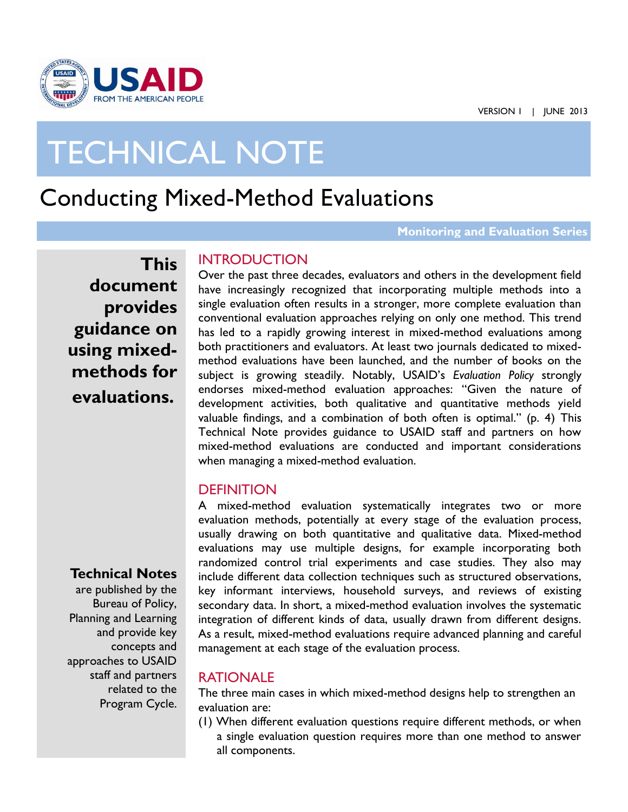

# TECHNICAL NOTE

## Conducting Mixed-Method Evaluations

**Monitoring and Evaluation Series**

**This document provides guidance on using mixedmethods for evaluations.**

#### **INTRODUCTION**

Over the past three decades, evaluators and others in the development field have increasingly recognized that incorporating multiple methods into a single evaluation often results in a stronger, more complete evaluation than conventional evaluation approaches relying on only one method. This trend has led to a rapidly growing interest in mixed-method evaluations among both practitioners and evaluators. At least two journals dedicated to mixedmethod evaluations have been launched, and the number of books on the subject is growing steadily. Notably, USAID's *Evaluation Policy* strongly endorses mixed-method evaluation approaches: "Given the nature of development activities, both qualitative and quantitative methods yield valuable findings, and a combination of both often is optimal." (p. 4) This Technical Note provides guidance to USAID staff and partners on how mixed-method evaluations are conducted and important considerations when managing a mixed-method evaluation.

#### **DEFINITION**

A mixed-method evaluation systematically integrates two or more evaluation methods, potentially at every stage of the evaluation process, usually drawing on both quantitative and qualitative data. Mixed-method evaluations may use multiple designs, for example incorporating both randomized control trial experiments and case studies. They also may include different data collection techniques such as structured observations, key informant interviews, household surveys, and reviews of existing secondary data. In short, a mixed-method evaluation involves the systematic integration of different kinds of data, usually drawn from different designs. As a result, mixed-method evaluations require advanced planning and careful management at each stage of the evaluation process.

#### RATIONALE

The three main cases in which mixed-method designs help to strengthen an evaluation are:

(1) When different evaluation questions require different methods, or when a single evaluation question requires more than one method to answer all components.

### **Technical Notes**

eoneepes and<br>approaches to USAID are published by the Bureau of Policy, Planning and Learning and provide key concepts and staff and partners related to the Program Cycle.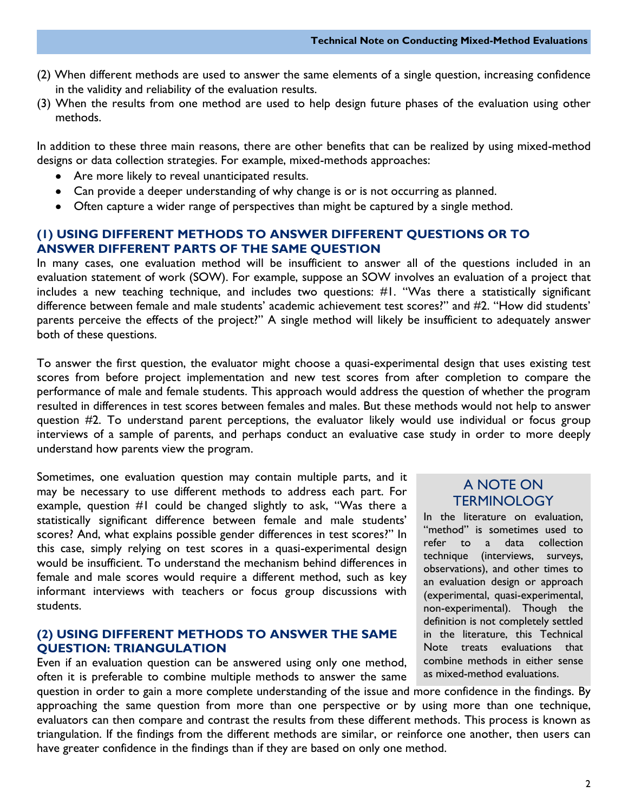- (2) When different methods are used to answer the same elements of a single question, increasing confidence in the validity and reliability of the evaluation results.
- (3) When the results from one method are used to help design future phases of the evaluation using other methods.

In addition to these three main reasons, there are other benefits that can be realized by using mixed-method designs or data collection strategies. For example, mixed-methods approaches:

- Are more likely to reveal unanticipated results.
- Can provide a deeper understanding of why change is or is not occurring as planned.
- Often capture a wider range of perspectives than might be captured by a single method.

#### **(1) USING DIFFERENT METHODS TO ANSWER DIFFERENT QUESTIONS OR TO ANSWER DIFFERENT PARTS OF THE SAME QUESTION**

In many cases, one evaluation method will be insufficient to answer all of the questions included in an evaluation statement of work (SOW). For example, suppose an SOW involves an evaluation of a project that includes a new teaching technique, and includes two questions: #1. "Was there a statistically significant difference between female and male students' academic achievement test scores?" and #2. "How did students' parents perceive the effects of the project?" A single method will likely be insufficient to adequately answer both of these questions.

To answer the first question, the evaluator might choose a quasi-experimental design that uses existing test scores from before project implementation and new test scores from after completion to compare the performance of male and female students. This approach would address the question of whether the program resulted in differences in test scores between females and males. But these methods would not help to answer question #2. To understand parent perceptions, the evaluator likely would use individual or focus group interviews of a sample of parents, and perhaps conduct an evaluative case study in order to more deeply understand how parents view the program.

Sometimes, one evaluation question may contain multiple parts, and it may be necessary to use different methods to address each part. For example, question #1 could be changed slightly to ask, "Was there a statistically significant difference between female and male students' scores? And, what explains possible gender differences in test scores?" In this case, simply relying on test scores in a quasi-experimental design would be insufficient. To understand the mechanism behind differences in female and male scores would require a different method, such as key informant interviews with teachers or focus group discussions with students.

#### **(2) USING DIFFERENT METHODS TO ANSWER THE SAME QUESTION: TRIANGULATION**

Even if an evaluation question can be answered using only one method, often it is preferable to combine multiple methods to answer the same

#### A NOTE ON **TERMINOLOGY**

In the literature on evaluation, "method" is sometimes used to refer to a data collection technique (interviews, surveys, observations), and other times to an evaluation design or approach (experimental, quasi-experimental, non-experimental). Though the definition is not completely settled in the literature, this Technical Note treats evaluations that combine methods in either sense as mixed-method evaluations.

question in order to gain a more complete understanding of the issue and more confidence in the findings. By approaching the same question from more than one perspective or by using more than one technique, evaluators can then compare and contrast the results from these different methods. This process is known as triangulation. If the findings from the different methods are similar, or reinforce one another, then users can have greater confidence in the findings than if they are based on only one method.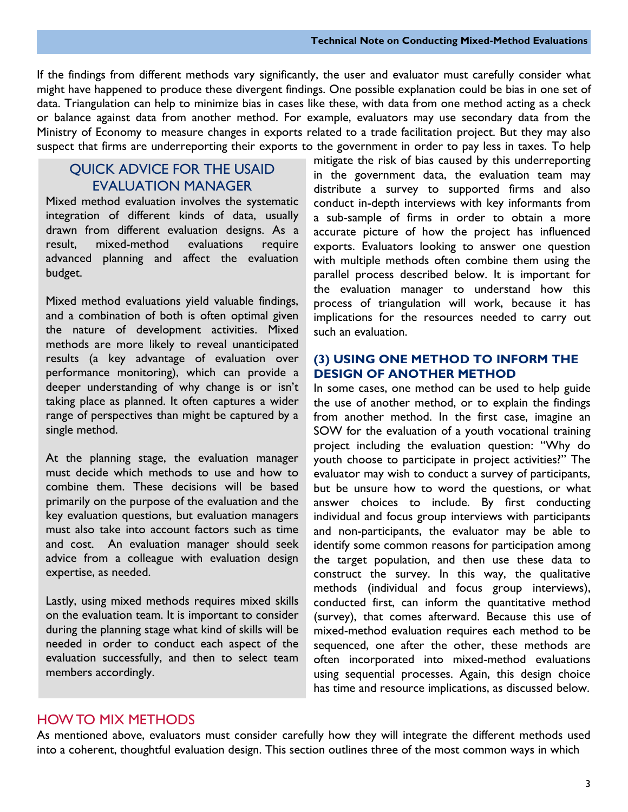If the findings from different methods vary significantly, the user and evaluator must carefully consider what might have happened to produce these divergent findings. One possible explanation could be bias in one set of data. Triangulation can help to minimize bias in cases like these, with data from one method acting as a check or balance against data from another method. For example, evaluators may use secondary data from the Ministry of Economy to measure changes in exports related to a trade facilitation project. But they may also suspect that firms are underreporting their exports to the government in order to pay less in taxes. To help

#### QUICK ADVICE FOR THE USAID EVALUATION MANAGER

Mixed method evaluation involves the systematic integration of different kinds of data, usually drawn from different evaluation designs. As a result, mixed-method evaluations require advanced planning and affect the evaluation budget.

Mixed method evaluations yield valuable findings, and a combination of both is often optimal given the nature of development activities. Mixed methods are more likely to reveal unanticipated results (a key advantage of evaluation over performance monitoring), which can provide a deeper understanding of why change is or isn't taking place as planned. It often captures a wider range of perspectives than might be captured by a single method.

At the planning stage, the evaluation manager must decide which methods to use and how to combine them. These decisions will be based primarily on the purpose of the evaluation and the key evaluation questions, but evaluation managers must also take into account factors such as time and cost. An evaluation manager should seek advice from a colleague with evaluation design expertise, as needed.

Lastly, using mixed methods requires mixed skills on the evaluation team. It is important to consider during the planning stage what kind of skills will be needed in order to conduct each aspect of the evaluation successfully, and then to select team members accordingly.

mitigate the risk of bias caused by this underreporting in the government data, the evaluation team may distribute a survey to supported firms and also conduct in-depth interviews with key informants from a sub-sample of firms in order to obtain a more accurate picture of how the project has influenced exports. Evaluators looking to answer one question with multiple methods often combine them using the parallel process described below. It is important for the evaluation manager to understand how this process of triangulation will work, because it has implications for the resources needed to carry out such an evaluation.

#### **(3) USING ONE METHOD TO INFORM THE DESIGN OF ANOTHER METHOD**

In some cases, one method can be used to help guide the use of another method, or to explain the findings from another method. In the first case, imagine an SOW for the evaluation of a youth vocational training project including the evaluation question: "Why do youth choose to participate in project activities?" The evaluator may wish to conduct a survey of participants, but be unsure how to word the questions, or what answer choices to include. By first conducting individual and focus group interviews with participants and non-participants, the evaluator may be able to identify some common reasons for participation among the target population, and then use these data to construct the survey. In this way, the qualitative methods (individual and focus group interviews), conducted first, can inform the quantitative method (survey), that comes afterward. Because this use of mixed-method evaluation requires each method to be sequenced, one after the other, these methods are often incorporated into mixed-method evaluations using sequential processes. Again, this design choice has time and resource implications, as discussed below.

#### HOW TO MIX METHODS

As mentioned above, evaluators must consider carefully how they will integrate the different methods used into a coherent, thoughtful evaluation design. This section outlines three of the most common ways in which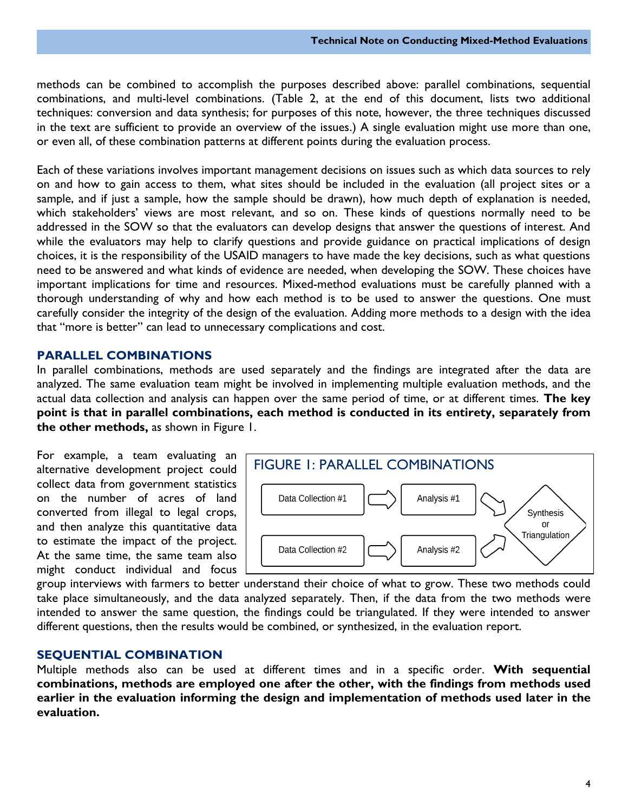methods can be combined to accomplish the purposes described above: parallel combinations, sequential combinations, and multi-level combinations. (Table 2, at the end of this document, lists two additional techniques: conversion and data synthesis; for purposes of this note, however, the three techniques discussed in the text are sufficient to provide an overview of the issues.) A single evaluation might use more than one, or even all, of these combination patterns at different points during the evaluation process.

Each of these variations involves important management decisions on issues such as which data sources to rely on and how to gain access to them, what sites should be included in the evaluation (all project sites or a sample, and if just a sample, how the sample should be drawn), how much depth of explanation is needed, which stakeholders' views are most relevant, and so on. These kinds of questions normally need to be addressed in the SOW so that the evaluators can develop designs that answer the questions of interest. And while the evaluators may help to clarify questions and provide guidance on practical implications of design choices, it is the responsibility of the USAID managers to have made the key decisions, such as what questions need to be answered and what kinds of evidence are needed, when developing the SOW. These choices have important implications for time and resources. Mixed-method evaluations must be carefully planned with a thorough understanding of why and how each method is to be used to answer the questions. One must carefully consider the integrity of the design of the evaluation. Adding more methods to a design with the idea that "more is better" can lead to unnecessary complications and cost.

#### **PARALLEL COMBINATIONS**

In parallel combinations, methods are used separately and the findings are integrated after the data are analyzed. The same evaluation team might be involved in implementing multiple evaluation methods, and the actual data collection and analysis can happen over the same period of time, or at different times. **The key point is that in parallel combinations, each method is conducted in its entirety, separately from the other methods,** as shown in Figure 1.

For example, a team evaluating an alternative development project could collect data from government statistics on the number of acres of land converted from illegal to legal crops, and then analyze this quantitative data to estimate the impact of the project. At the same time, the same team also might conduct individual and focus



group interviews with farmers to better understand their choice of what to grow. These two methods could take place simultaneously, and the data analyzed separately. Then, if the data from the two methods were intended to answer the same question, the findings could be triangulated. If they were intended to answer different questions, then the results would be combined, or synthesized, in the evaluation report.

#### **SEQUENTIAL COMBINATION**

Multiple methods also can be used at different times and in a specific order. **With sequential combinations, methods are employed one after the other, with the findings from methods used earlier in the evaluation informing the design and implementation of methods used later in the evaluation.**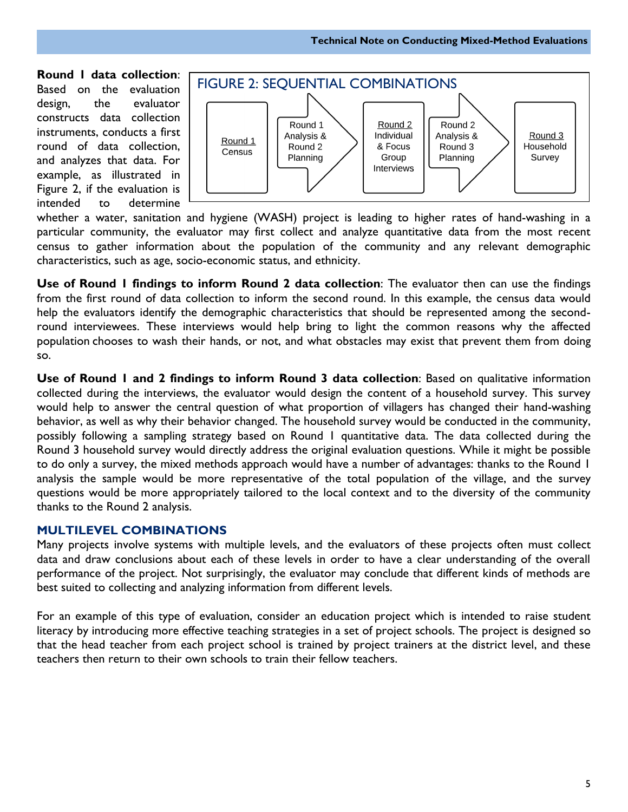**Round 1 data collection**: Based on the evaluation design, the evaluator constructs data collection instruments, conducts a first round of data collection, and analyzes that data. For example, as illustrated in Figure 2, if the evaluation is intended to determine



whether a water, sanitation and hygiene (WASH) project is leading to higher rates of hand-washing in a particular community, the evaluator may first collect and analyze quantitative data from the most recent census to gather information about the population of the community and any relevant demographic characteristics, such as age, socio-economic status, and ethnicity.

**Use of Round 1 findings to inform Round 2 data collection**: The evaluator then can use the findings from the first round of data collection to inform the second round. In this example, the census data would help the evaluators identify the demographic characteristics that should be represented among the secondround interviewees. These interviews would help bring to light the common reasons why the affected population chooses to wash their hands, or not, and what obstacles may exist that prevent them from doing so.

**Use of Round 1 and 2 findings to inform Round 3 data collection**: Based on qualitative information collected during the interviews, the evaluator would design the content of a household survey. This survey would help to answer the central question of what proportion of villagers has changed their hand-washing behavior, as well as why their behavior changed. The household survey would be conducted in the community, possibly following a sampling strategy based on Round 1 quantitative data. The data collected during the Round 3 household survey would directly address the original evaluation questions. While it might be possible to do only a survey, the mixed methods approach would have a number of advantages: thanks to the Round 1 analysis the sample would be more representative of the total population of the village, and the survey questions would be more appropriately tailored to the local context and to the diversity of the community thanks to the Round 2 analysis.

#### **MULTILEVEL COMBINATIONS**

Many projects involve systems with multiple levels, and the evaluators of these projects often must collect data and draw conclusions about each of these levels in order to have a clear understanding of the overall performance of the project. Not surprisingly, the evaluator may conclude that different kinds of methods are best suited to collecting and analyzing information from different levels.

For an example of this type of evaluation, consider an education project which is intended to raise student literacy by introducing more effective teaching strategies in a set of project schools. The project is designed so that the head teacher from each project school is trained by project trainers at the district level, and these teachers then return to their own schools to train their fellow teachers.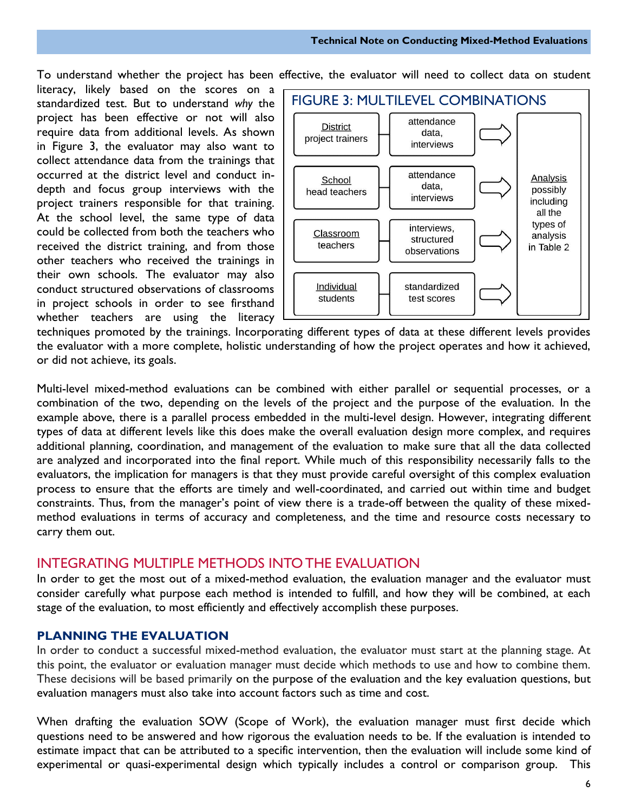To understand whether the project has been effective, the evaluator will need to collect data on student

literacy, likely based on the scores on a standardized test. But to understand *why* the project has been effective or not will also require data from additional levels. As shown in Figure 3, the evaluator may also want to collect attendance data from the trainings that occurred at the district level and conduct indepth and focus group interviews with the project trainers responsible for that training. At the school level, the same type of data could be collected from both the teachers who received the district training, and from those other teachers who received the trainings in their own schools. The evaluator may also conduct structured observations of classrooms in project schools in order to see firsthand whether teachers are using the literacy



techniques promoted by the trainings. Incorporating different types of data at these different levels provides the evaluator with a more complete, holistic understanding of how the project operates and how it achieved, or did not achieve, its goals.

Multi-level mixed-method evaluations can be combined with either parallel or sequential processes, or a combination of the two, depending on the levels of the project and the purpose of the evaluation. In the example above, there is a parallel process embedded in the multi-level design. However, integrating different types of data at different levels like this does make the overall evaluation design more complex, and requires additional planning, coordination, and management of the evaluation to make sure that all the data collected are analyzed and incorporated into the final report. While much of this responsibility necessarily falls to the evaluators, the implication for managers is that they must provide careful oversight of this complex evaluation process to ensure that the efforts are timely and well-coordinated, and carried out within time and budget constraints. Thus, from the manager's point of view there is a trade-off between the quality of these mixedmethod evaluations in terms of accuracy and completeness, and the time and resource costs necessary to carry them out.

#### INTEGRATING MULTIPLE METHODS INTO THE EVALUATION

In order to get the most out of a mixed-method evaluation, the evaluation manager and the evaluator must consider carefully what purpose each method is intended to fulfill, and how they will be combined, at each stage of the evaluation, to most efficiently and effectively accomplish these purposes.

#### **PLANNING THE EVALUATION**

In order to conduct a successful mixed-method evaluation, the evaluator must start at the planning stage. At this point, the evaluator or evaluation manager must decide which methods to use and how to combine them. These decisions will be based primarily on the purpose of the evaluation and the key evaluation questions, but evaluation managers must also take into account factors such as time and cost.

When drafting the evaluation SOW (Scope of Work), the evaluation manager must first decide which questions need to be answered and how rigorous the evaluation needs to be. If the evaluation is intended to estimate impact that can be attributed to a specific intervention, then the evaluation will include some kind of experimental or quasi-experimental design which typically includes a control or comparison group. This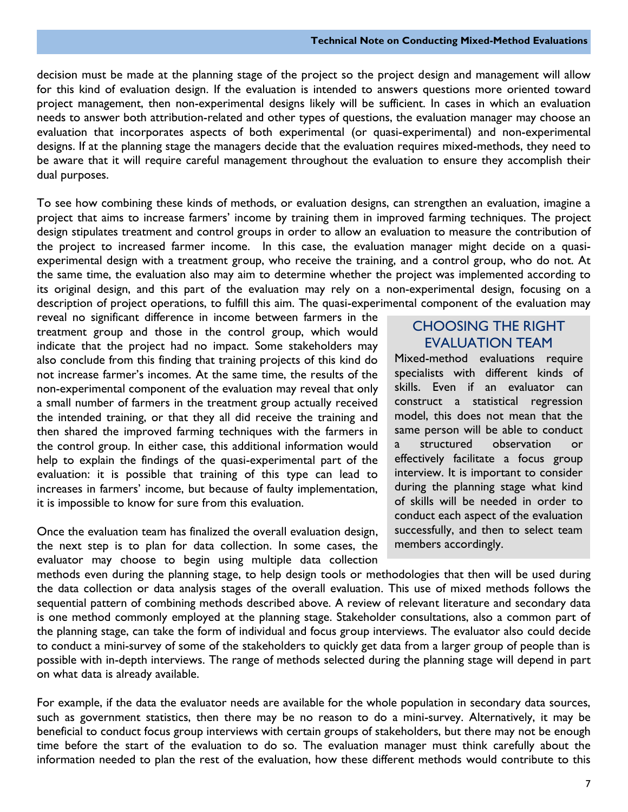decision must be made at the planning stage of the project so the project design and management will allow for this kind of evaluation design. If the evaluation is intended to answers questions more oriented toward project management, then non-experimental designs likely will be sufficient. In cases in which an evaluation needs to answer both attribution-related and other types of questions, the evaluation manager may choose an evaluation that incorporates aspects of both experimental (or quasi-experimental) and non-experimental designs. If at the planning stage the managers decide that the evaluation requires mixed-methods, they need to be aware that it will require careful management throughout the evaluation to ensure they accomplish their dual purposes.

To see how combining these kinds of methods, or evaluation designs, can strengthen an evaluation, imagine a project that aims to increase farmers' income by training them in improved farming techniques. The project design stipulates treatment and control groups in order to allow an evaluation to measure the contribution of the project to increased farmer income. In this case, the evaluation manager might decide on a quasiexperimental design with a treatment group, who receive the training, and a control group, who do not. At the same time, the evaluation also may aim to determine whether the project was implemented according to its original design, and this part of the evaluation may rely on a non-experimental design, focusing on a description of project operations, to fulfill this aim. The quasi-experimental component of the evaluation may

reveal no significant difference in income between farmers in the treatment group and those in the control group, which would indicate that the project had no impact. Some stakeholders may also conclude from this finding that training projects of this kind do not increase farmer's incomes. At the same time, the results of the non-experimental component of the evaluation may reveal that only a small number of farmers in the treatment group actually received the intended training, or that they all did receive the training and then shared the improved farming techniques with the farmers in the control group. In either case, this additional information would help to explain the findings of the quasi-experimental part of the evaluation: it is possible that training of this type can lead to increases in farmers' income, but because of faulty implementation, it is impossible to know for sure from this evaluation.

Once the evaluation team has finalized the overall evaluation design, the next step is to plan for data collection. In some cases, the evaluator may choose to begin using multiple data collection

#### CHOOSING THE RIGHT EVALUATION TEAM

Mixed-method evaluations require specialists with different kinds of skills. Even if an evaluator can construct a statistical regression model, this does not mean that the same person will be able to conduct a structured observation or effectively facilitate a focus group interview. It is important to consider during the planning stage what kind of skills will be needed in order to conduct each aspect of the evaluation successfully, and then to select team members accordingly.

methods even during the planning stage, to help design tools or methodologies that then will be used during the data collection or data analysis stages of the overall evaluation. This use of mixed methods follows the sequential pattern of combining methods described above. A review of relevant literature and secondary data is one method commonly employed at the planning stage. Stakeholder consultations, also a common part of the planning stage, can take the form of individual and focus group interviews. The evaluator also could decide to conduct a mini-survey of some of the stakeholders to quickly get data from a larger group of people than is possible with in-depth interviews. The range of methods selected during the planning stage will depend in part on what data is already available.

For example, if the data the evaluator needs are available for the whole population in secondary data sources, such as government statistics, then there may be no reason to do a mini-survey. Alternatively, it may be beneficial to conduct focus group interviews with certain groups of stakeholders, but there may not be enough time before the start of the evaluation to do so. The evaluation manager must think carefully about the information needed to plan the rest of the evaluation, how these different methods would contribute to this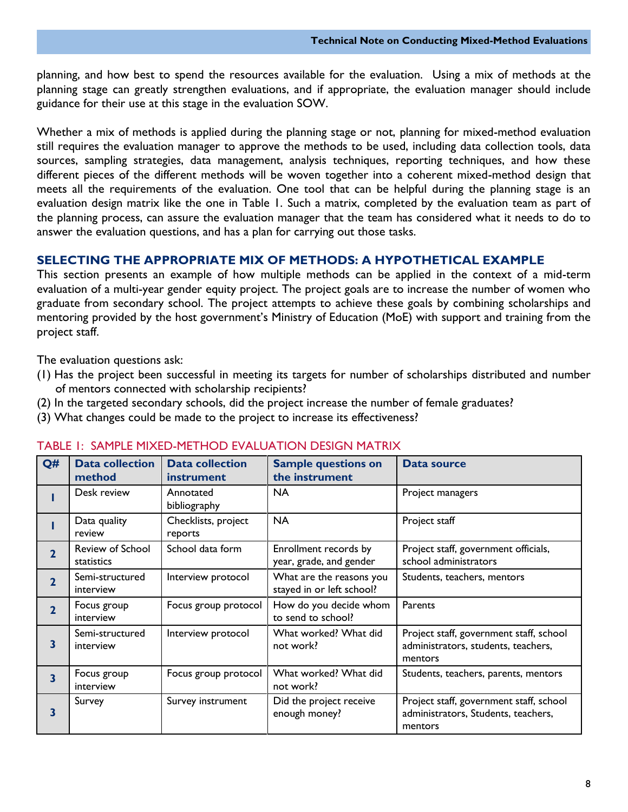planning, and how best to spend the resources available for the evaluation. Using a mix of methods at the planning stage can greatly strengthen evaluations, and if appropriate, the evaluation manager should include guidance for their use at this stage in the evaluation SOW.

Whether a mix of methods is applied during the planning stage or not, planning for mixed-method evaluation still requires the evaluation manager to approve the methods to be used, including data collection tools, data sources, sampling strategies, data management, analysis techniques, reporting techniques, and how these different pieces of the different methods will be woven together into a coherent mixed-method design that meets all the requirements of the evaluation. One tool that can be helpful during the planning stage is an evaluation design matrix like the one in Table 1. Such a matrix, completed by the evaluation team as part of the planning process, can assure the evaluation manager that the team has considered what it needs to do to answer the evaluation questions, and has a plan for carrying out those tasks.

#### **SELECTING THE APPROPRIATE MIX OF METHODS: A HYPOTHETICAL EXAMPLE**

This section presents an example of how multiple methods can be applied in the context of a mid-term evaluation of a multi-year gender equity project. The project goals are to increase the number of women who graduate from secondary school. The project attempts to achieve these goals by combining scholarships and mentoring provided by the host government's Ministry of Education (MoE) with support and training from the project staff.

The evaluation questions ask:

- (1) Has the project been successful in meeting its targets for number of scholarships distributed and number of mentors connected with scholarship recipients?
- (2) In the targeted secondary schools, did the project increase the number of female graduates?
- (3) What changes could be made to the project to increase its effectiveness?

| Q#                      | <b>Data collection</b><br>method | <b>Data collection</b><br>instrument | <b>Sample questions on</b><br>the instrument          | <b>Data source</b>                                                                        |
|-------------------------|----------------------------------|--------------------------------------|-------------------------------------------------------|-------------------------------------------------------------------------------------------|
|                         | Desk review                      | Annotated<br>bibliography            | NA                                                    | Project managers                                                                          |
|                         | Data quality<br>review           | Checklists, project<br>reports       | <b>NA</b>                                             | Project staff                                                                             |
| $\overline{2}$          | Review of School<br>statistics   | School data form                     | Enrollment records by<br>year, grade, and gender      | Project staff, government officials,<br>school administrators                             |
| $\mathbf{2}$            | Semi-structured<br>interview     | Interview protocol                   | What are the reasons you<br>stayed in or left school? | Students, teachers, mentors                                                               |
| $\mathbf{2}$            | Focus group<br>interview         | Focus group protocol                 | How do you decide whom<br>to send to school?          | Parents                                                                                   |
| 3                       | Semi-structured<br>interview     | Interview protocol                   | What worked? What did<br>not work?                    | Project staff, government staff, school<br>administrators, students, teachers,<br>mentors |
| $\overline{\mathbf{3}}$ | Focus group<br>interview         | Focus group protocol                 | What worked? What did<br>not work?                    | Students, teachers, parents, mentors                                                      |
| 3                       | Survey                           | Survey instrument                    | Did the project receive<br>enough money?              | Project staff, government staff, school<br>administrators, Students, teachers,<br>mentors |

#### TABLE 1: SAMPLE MIXED-METHOD EVALUATION DESIGN MATRIX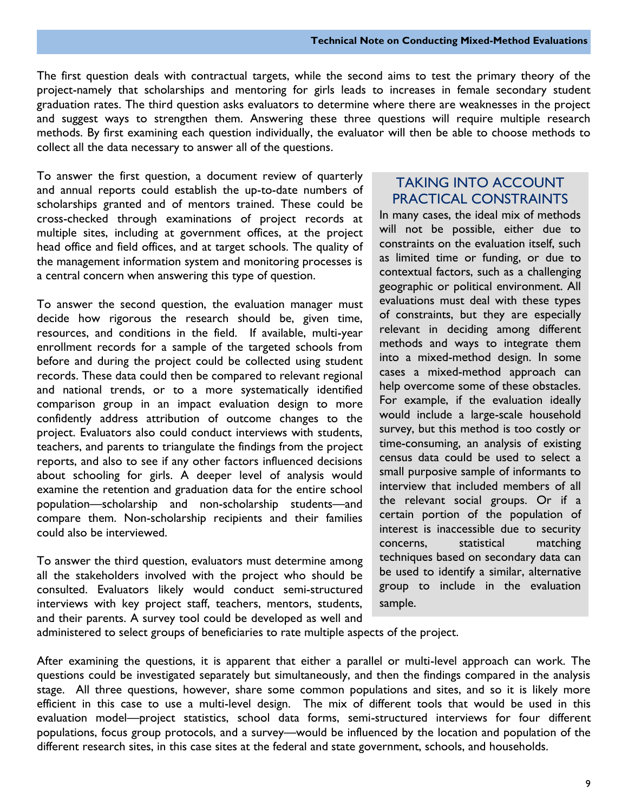The first question deals with contractual targets, while the second aims to test the primary theory of the project-namely that scholarships and mentoring for girls leads to increases in female secondary student graduation rates. The third question asks evaluators to determine where there are weaknesses in the project and suggest ways to strengthen them. Answering these three questions will require multiple research methods. By first examining each question individually, the evaluator will then be able to choose methods to collect all the data necessary to answer all of the questions.

To answer the first question, a document review of quarterly and annual reports could establish the up-to-date numbers of scholarships granted and of mentors trained. These could be cross-checked through examinations of project records at multiple sites, including at government offices, at the project head office and field offices, and at target schools. The quality of the management information system and monitoring processes is a central concern when answering this type of question.

To answer the second question, the evaluation manager must decide how rigorous the research should be, given time, resources, and conditions in the field. If available, multi-year enrollment records for a sample of the targeted schools from before and during the project could be collected using student records. These data could then be compared to relevant regional and national trends, or to a more systematically identified comparison group in an impact evaluation design to more confidently address attribution of outcome changes to the project. Evaluators also could conduct interviews with students, teachers, and parents to triangulate the findings from the project reports, and also to see if any other factors influenced decisions about schooling for girls. A deeper level of analysis would examine the retention and graduation data for the entire school population—scholarship and non-scholarship students—and compare them. Non-scholarship recipients and their families could also be interviewed.

To answer the third question, evaluators must determine among all the stakeholders involved with the project who should be consulted. Evaluators likely would conduct semi-structured interviews with key project staff, teachers, mentors, students, and their parents. A survey tool could be developed as well and

#### TAKING INTO ACCOUNT PRACTICAL CONSTRAINTS

In many cases, the ideal mix of methods will not be possible, either due to constraints on the evaluation itself, such as limited time or funding, or due to contextual factors, such as a challenging geographic or political environment. All evaluations must deal with these types of constraints, but they are especially relevant in deciding among different methods and ways to integrate them into a mixed-method design. In some cases a mixed-method approach can help overcome some of these obstacles. For example, if the evaluation ideally would include a large-scale household survey, but this method is too costly or time-consuming, an analysis of existing census data could be used to select a small purposive sample of informants to interview that included members of all the relevant social groups. Or if a certain portion of the population of interest is inaccessible due to security concerns, statistical matching techniques based on secondary data can be used to identify a similar, alternative group to include in the evaluation sample.

administered to select groups of beneficiaries to rate multiple aspects of the project.

After examining the questions, it is apparent that either a parallel or multi-level approach can work. The questions could be investigated separately but simultaneously, and then the findings compared in the analysis stage. All three questions, however, share some common populations and sites, and so it is likely more efficient in this case to use a multi-level design. The mix of different tools that would be used in this evaluation model—project statistics, school data forms, semi-structured interviews for four different populations, focus group protocols, and a survey—would be influenced by the location and population of the different research sites, in this case sites at the federal and state government, schools, and households.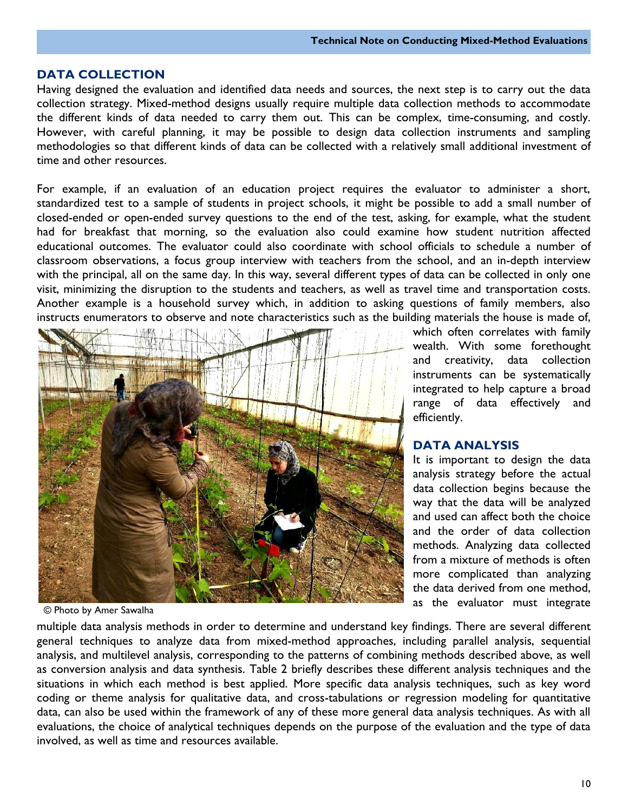#### **DATA COLLECTION**

Having designed the evaluation and identified data needs and sources, the next step is to carry out the data collection strategy. Mixed-method designs usually require multiple data collection methods to accommodate the different kinds of data needed to carry them out. This can be complex, time-consuming, and costly. However, with careful planning, it may be possible to design data collection instruments and sampling methodologies so that different kinds of data can be collected with a relatively small additional investment of time and other resources.

For example, if an evaluation of an education project requires the evaluator to administer a short, standardized test to a sample of students in project schools, it might be possible to add a small number of closed-ended or open-ended survey questions to the end of the test, asking, for example, what the student had for breakfast that morning, so the evaluation also could examine how student nutrition affected educational outcomes. The evaluator could also coordinate with school officials to schedule a number of classroom observations, a focus group interview with teachers from the school, and an in-depth interview with the principal, all on the same day. In this way, several different types of data can be collected in only one visit, minimizing the disruption to the students and teachers, as well as travel time and transportation costs. Another example is a household survey which, in addition to asking questions of family members, also instructs enumerators to observe and note characteristics such as the building materials the house is made of,



© Photo by Amer Sawalha

multiple data analysis methods in order to determine and understand key findings. There are several different general techniques to analyze data from mixed-method approaches, including parallel analysis, sequential analysis, and multilevel analysis, corresponding to the patterns of combining methods described above, as well as conversion analysis and data synthesis. Table 2 briefly describes these different analysis techniques and the situations in which each method is best applied. More specific data analysis techniques, such as key word coding or theme analysis for qualitative data, and cross-tabulations or regression modeling for quantitative data, can also be used within the framework of any of these more general data analysis techniques. As with all evaluations, the choice of analytical techniques depends on the purpose of the evaluation and the type of data involved, as well as time and resources available.

which often correlates with family wealth. With some forethought and creativity, data collection instruments can be systematically integrated to help capture a broad range of data effectively and efficiently.

#### **DATA ANALYSIS**

It is important to design the data analysis strategy before the actual data collection begins because the way that the data will be analyzed and used can affect both the choice and the order of data collection methods. Analyzing data collected from a mixture of methods is often more complicated than analyzing the data derived from one method, as the evaluator must integrate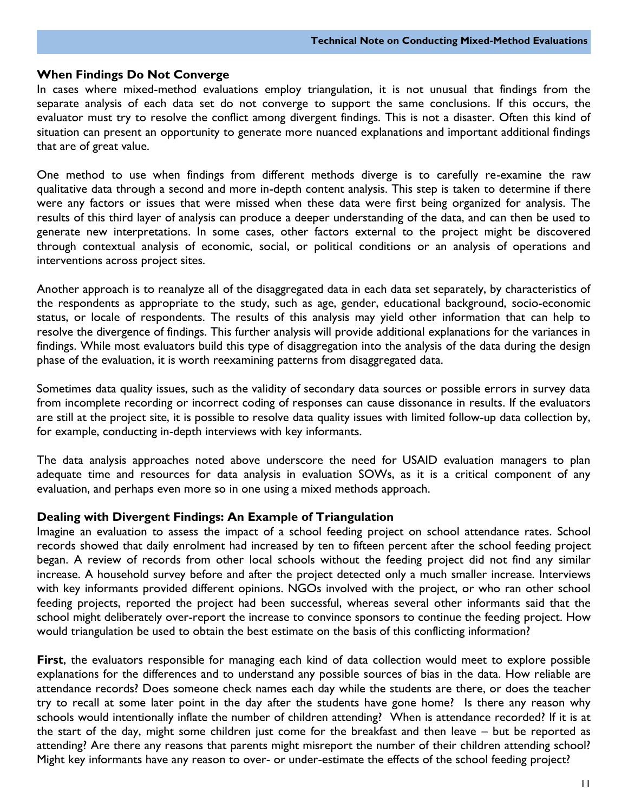#### **When Findings Do Not Converge**

In cases where mixed-method evaluations employ triangulation, it is not unusual that findings from the separate analysis of each data set do not converge to support the same conclusions. If this occurs, the evaluator must try to resolve the conflict among divergent findings. This is not a disaster. Often this kind of situation can present an opportunity to generate more nuanced explanations and important additional findings that are of great value.

One method to use when findings from different methods diverge is to carefully re-examine the raw qualitative data through a second and more in-depth content analysis. This step is taken to determine if there were any factors or issues that were missed when these data were first being organized for analysis. The results of this third layer of analysis can produce a deeper understanding of the data, and can then be used to generate new interpretations. In some cases, other factors external to the project might be discovered through contextual analysis of economic, social, or political conditions or an analysis of operations and interventions across project sites.

Another approach is to reanalyze all of the disaggregated data in each data set separately, by characteristics of the respondents as appropriate to the study, such as age, gender, educational background, socio-economic status, or locale of respondents. The results of this analysis may yield other information that can help to resolve the divergence of findings. This further analysis will provide additional explanations for the variances in findings. While most evaluators build this type of disaggregation into the analysis of the data during the design phase of the evaluation, it is worth reexamining patterns from disaggregated data.

Sometimes data quality issues, such as the validity of secondary data sources or possible errors in survey data from incomplete recording or incorrect coding of responses can cause dissonance in results. If the evaluators are still at the project site, it is possible to resolve data quality issues with limited follow-up data collection by, for example, conducting in-depth interviews with key informants.

The data analysis approaches noted above underscore the need for USAID evaluation managers to plan adequate time and resources for data analysis in evaluation SOWs, as it is a critical component of any evaluation, and perhaps even more so in one using a mixed methods approach.

#### **Dealing with Divergent Findings: An Example of Triangulation**

Imagine an evaluation to assess the impact of a school feeding project on school attendance rates. School records showed that daily enrolment had increased by ten to fifteen percent after the school feeding project began. A review of records from other local schools without the feeding project did not find any similar increase. A household survey before and after the project detected only a much smaller increase. Interviews with key informants provided different opinions. NGOs involved with the project, or who ran other school feeding projects, reported the project had been successful, whereas several other informants said that the school might deliberately over-report the increase to convince sponsors to continue the feeding project. How would triangulation be used to obtain the best estimate on the basis of this conflicting information?

First, the evaluators responsible for managing each kind of data collection would meet to explore possible explanations for the differences and to understand any possible sources of bias in the data. How reliable are attendance records? Does someone check names each day while the students are there, or does the teacher try to recall at some later point in the day after the students have gone home? Is there any reason why schools would intentionally inflate the number of children attending? When is attendance recorded? If it is at the start of the day, might some children just come for the breakfast and then leave – but be reported as attending? Are there any reasons that parents might misreport the number of their children attending school? Might key informants have any reason to over- or under-estimate the effects of the school feeding project?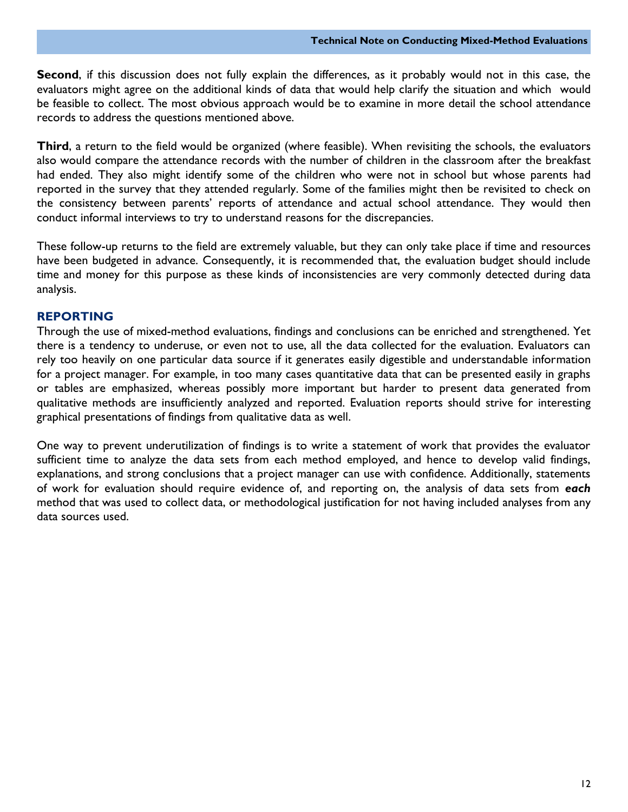**Second**, if this discussion does not fully explain the differences, as it probably would not in this case, the evaluators might agree on the additional kinds of data that would help clarify the situation and which would be feasible to collect. The most obvious approach would be to examine in more detail the school attendance records to address the questions mentioned above.

**Third**, a return to the field would be organized (where feasible). When revisiting the schools, the evaluators also would compare the attendance records with the number of children in the classroom after the breakfast had ended. They also might identify some of the children who were not in school but whose parents had reported in the survey that they attended regularly. Some of the families might then be revisited to check on the consistency between parents' reports of attendance and actual school attendance. They would then conduct informal interviews to try to understand reasons for the discrepancies.

These follow-up returns to the field are extremely valuable, but they can only take place if time and resources have been budgeted in advance. Consequently, it is recommended that, the evaluation budget should include time and money for this purpose as these kinds of inconsistencies are very commonly detected during data analysis.

#### **REPORTING**

Through the use of mixed-method evaluations, findings and conclusions can be enriched and strengthened. Yet there is a tendency to underuse, or even not to use, all the data collected for the evaluation. Evaluators can rely too heavily on one particular data source if it generates easily digestible and understandable information for a project manager. For example, in too many cases quantitative data that can be presented easily in graphs or tables are emphasized, whereas possibly more important but harder to present data generated from qualitative methods are insufficiently analyzed and reported. Evaluation reports should strive for interesting graphical presentations of findings from qualitative data as well.

One way to prevent underutilization of findings is to write a statement of work that provides the evaluator sufficient time to analyze the data sets from each method employed, and hence to develop valid findings, explanations, and strong conclusions that a project manager can use with confidence. Additionally, statements of work for evaluation should require evidence of, and reporting on, the analysis of data sets from *each*  method that was used to collect data, or methodological justification for not having included analyses from any data sources used.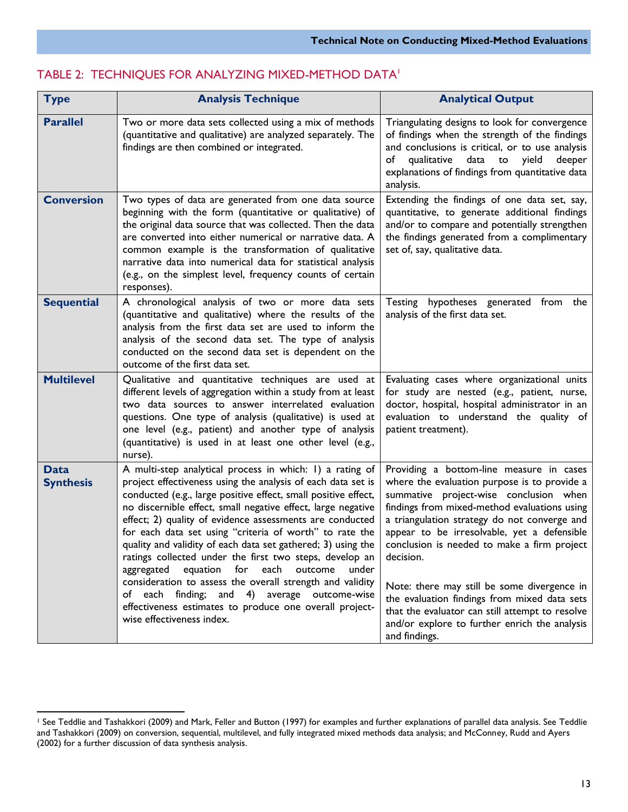| <b>Type</b>                     | <b>Analysis Technique</b>                                                                                                                                                                                                                                                                                                                                                                                                                                                                                                                                                                                                                                                                                                                                          | <b>Analytical Output</b>                                                                                                                                                                                                                                                                                                                                                                                                                                                                                                                                          |
|---------------------------------|--------------------------------------------------------------------------------------------------------------------------------------------------------------------------------------------------------------------------------------------------------------------------------------------------------------------------------------------------------------------------------------------------------------------------------------------------------------------------------------------------------------------------------------------------------------------------------------------------------------------------------------------------------------------------------------------------------------------------------------------------------------------|-------------------------------------------------------------------------------------------------------------------------------------------------------------------------------------------------------------------------------------------------------------------------------------------------------------------------------------------------------------------------------------------------------------------------------------------------------------------------------------------------------------------------------------------------------------------|
| <b>Parallel</b>                 | Two or more data sets collected using a mix of methods<br>(quantitative and qualitative) are analyzed separately. The<br>findings are then combined or integrated.                                                                                                                                                                                                                                                                                                                                                                                                                                                                                                                                                                                                 | Triangulating designs to look for convergence<br>of findings when the strength of the findings<br>and conclusions is critical, or to use analysis<br>qualitative<br>data to yield<br>of<br>deeper<br>explanations of findings from quantitative data<br>analysis.                                                                                                                                                                                                                                                                                                 |
| <b>Conversion</b>               | Two types of data are generated from one data source<br>beginning with the form (quantitative or qualitative) of<br>the original data source that was collected. Then the data<br>are converted into either numerical or narrative data. A<br>common example is the transformation of qualitative<br>narrative data into numerical data for statistical analysis<br>(e.g., on the simplest level, frequency counts of certain<br>responses).                                                                                                                                                                                                                                                                                                                       | Extending the findings of one data set, say,<br>quantitative, to generate additional findings<br>and/or to compare and potentially strengthen<br>the findings generated from a complimentary<br>set of, say, qualitative data.                                                                                                                                                                                                                                                                                                                                    |
| <b>Sequential</b>               | A chronological analysis of two or more data sets<br>(quantitative and qualitative) where the results of the<br>analysis from the first data set are used to inform the<br>analysis of the second data set. The type of analysis<br>conducted on the second data set is dependent on the<br>outcome of the first data set.                                                                                                                                                                                                                                                                                                                                                                                                                                         | Testing hypotheses generated from the<br>analysis of the first data set.                                                                                                                                                                                                                                                                                                                                                                                                                                                                                          |
| <b>Multilevel</b>               | Qualitative and quantitative techniques are used at<br>different levels of aggregation within a study from at least<br>two data sources to answer interrelated evaluation<br>questions. One type of analysis (qualitative) is used at<br>one level (e.g., patient) and another type of analysis<br>(quantitative) is used in at least one other level (e.g.,<br>nurse).                                                                                                                                                                                                                                                                                                                                                                                            | Evaluating cases where organizational units<br>for study are nested (e.g., patient, nurse,<br>doctor, hospital, hospital administrator in an<br>evaluation to understand the quality of<br>patient treatment).                                                                                                                                                                                                                                                                                                                                                    |
| <b>Data</b><br><b>Synthesis</b> | A multi-step analytical process in which: 1) a rating of<br>project effectiveness using the analysis of each data set is<br>conducted (e.g., large positive effect, small positive effect,<br>no discernible effect, small negative effect, large negative<br>effect; 2) quality of evidence assessments are conducted<br>for each data set using "criteria of worth" to rate the<br>quality and validity of each data set gathered; 3) using the<br>ratings collected under the first two steps, develop an<br>aggregated equation for each outcome<br>under<br>consideration to assess the overall strength and validity<br>of each finding; and 4) average outcome-wise<br>effectiveness estimates to produce one overall project-<br>wise effectiveness index. | Providing a bottom-line measure in cases<br>where the evaluation purpose is to provide a<br>summative project-wise conclusion when<br>findings from mixed-method evaluations using<br>a triangulation strategy do not converge and<br>appear to be irresolvable, yet a defensible<br>conclusion is needed to make a firm project<br>decision.<br>Note: there may still be some divergence in<br>the evaluation findings from mixed data sets<br>that the evaluator can still attempt to resolve<br>and/or explore to further enrich the analysis<br>and findings. |

#### TABLE 2: TECHNIQUES FOR ANALYZING MIXED-METHOD DATA<sup>1</sup>

 $\overline{a}$ 

<sup>1</sup> See Teddlie and Tashakkori (2009) and Mark, Feller and Button (1997) for examples and further explanations of parallel data analysis. See Teddlie and Tashakkori (2009) on conversion, sequential, multilevel, and fully integrated mixed methods data analysis; and McConney, Rudd and Ayers (2002) for a further discussion of data synthesis analysis.